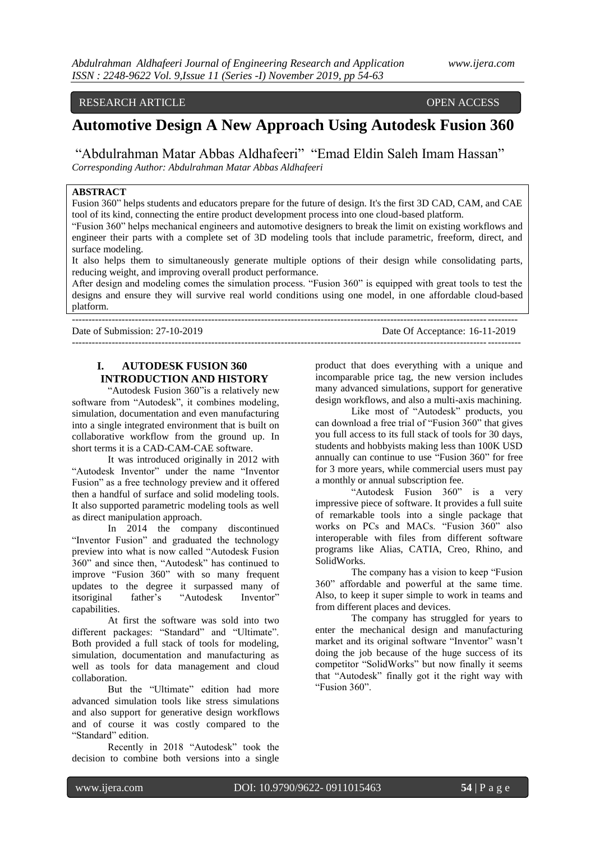### RESEARCH ARTICLE OPEN ACCESS

# **Automotive Design A New Approach Using Autodesk Fusion 360**

"Abdulrahman Matar Abbas Aldhafeeri" "Emad Eldin Saleh Imam Hassan" *Corresponding Author: Abdulrahman Matar Abbas Aldhafeeri*

# **ABSTRACT**

Fusion 360" helps students and educators prepare for the future of design. It's the first 3D CAD, CAM, and CAE tool of its kind, connecting the entire product development process into one cloud-based platform.

"Fusion 360" helps mechanical engineers and automotive designers to break the limit on existing workflows and engineer their parts with a complete set of 3D modeling tools that include parametric, freeform, direct, and surface modeling.

It also helps them to simultaneously generate multiple options of their design while consolidating parts, reducing weight, and improving overall product performance.

After design and modeling comes the simulation process. "Fusion 360" is equipped with great tools to test the designs and ensure they will survive real world conditions using one model, in one affordable cloud-based platform.

--------------------------------------------------------------------------------------------------------------------------------------

---------------------------------------------------------------------------------------------------------------------------------------

Date of Submission: 27-10-2019 Date Of Acceptance: 16-11-2019

# **I. AUTODESK FUSION 360 INTRODUCTION AND HISTORY**

"Autodesk Fusion 360"is a relatively new software from "Autodesk", it combines modeling, simulation, documentation and even manufacturing into a single integrated environment that is built on collaborative workflow from the ground up. In short terms it is a CAD-CAM-CAE software.

It was introduced originally in 2012 with "Autodesk Inventor" under the name "Inventor Fusion" as a free technology preview and it offered then a handful of surface and solid modeling tools. It also supported parametric modeling tools as well as direct manipulation approach.

In 2014 the company discontinued "Inventor Fusion" and graduated the technology preview into what is now called "Autodesk Fusion 360" and since then, "Autodesk" has continued to improve "Fusion 360" with so many frequent updates to the degree it surpassed many of itsoriginal father's "Autodesk Inventor" capabilities.

At first the software was sold into two different packages: "Standard" and "Ultimate". Both provided a full stack of tools for modeling, simulation, documentation and manufacturing as well as tools for data management and cloud collaboration.

But the "Ultimate" edition had more advanced simulation tools like stress simulations and also support for generative design workflows and of course it was costly compared to the "Standard" edition.

Recently in 2018 "Autodesk" took the decision to combine both versions into a single

product that does everything with a unique and incomparable price tag, the new version includes many advanced simulations, support for generative design workflows, and also a multi-axis machining.

Like most of "Autodesk" products, you can download a free trial of "Fusion 360" that gives you full access to its full stack of tools for 30 days, students and hobbyists making less than 100K USD annually can continue to use "Fusion 360" for free for 3 more years, while commercial users must pay a monthly or annual subscription fee.

"Autodesk Fusion 360" is a very impressive piece of software. It provides a full suite of remarkable tools into a single package that works on PCs and MACs. "Fusion 360" also interoperable with files from different software programs like Alias, CATIA, Creo, Rhino, and SolidWorks.

The company has a vision to keep "Fusion 360" affordable and powerful at the same time. Also, to keep it super simple to work in teams and from different places and devices.

The company has struggled for years to enter the mechanical design and manufacturing market and its original software "Inventor" wasn't doing the job because of the huge success of its competitor "SolidWorks" but now finally it seems that "Autodesk" finally got it the right way with "Fusion 360".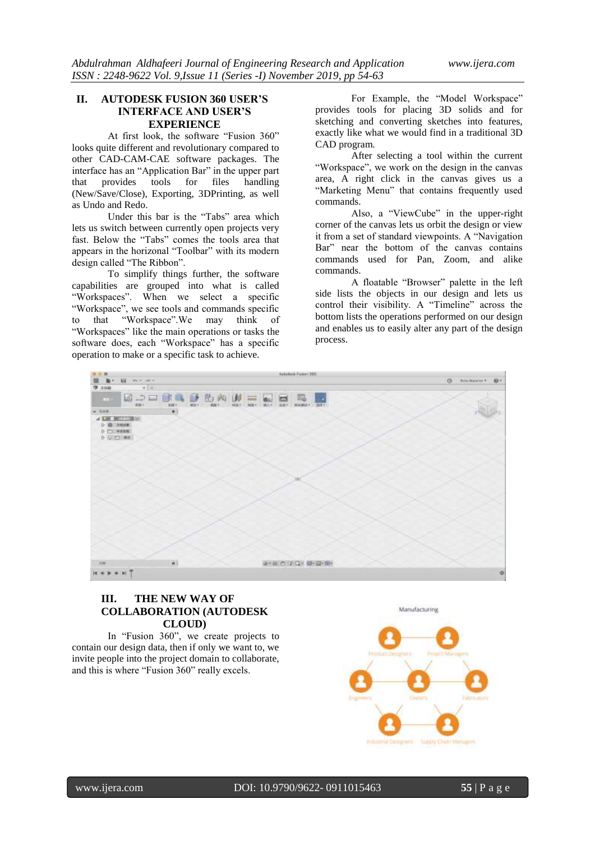### **II. AUTODESK FUSION 360 USER'S INTERFACE AND USER'S EXPERIENCE**

At first look, the software "Fusion 360" looks quite different and revolutionary compared to other CAD-CAM-CAE software packages. The interface has an "Application Bar" in the upper part that provides tools for files handling (New/Save/Close), Exporting, 3DPrinting, as well as Undo and Redo.

Under this bar is the "Tabs" area which lets us switch between currently open projects very fast. Below the "Tabs" comes the tools area that appears in the horizonal "Toolbar" with its modern design called "The Ribbon".

To simplify things further, the software capabilities are grouped into what is called "Workspaces". When we select a specific "Workspace", we see tools and commands specific to that "Workspace".We may think of "Workspaces" like the main operations or tasks the software does, each "Workspace" has a specific operation to make or a specific task to achieve.

For Example, the "Model Workspace" provides tools for placing 3D solids and for sketching and converting sketches into features, exactly like what we would find in a traditional 3D CAD program.

After selecting a tool within the current "Workspace", we work on the design in the canvas area, A right click in the canvas gives us a "Marketing Menu" that contains frequently used commands.

Also, a "ViewCube" in the upper-right corner of the canvas lets us orbit the design or view it from a set of standard viewpoints. A "Navigation Bar" near the bottom of the canvas contains commands used for Pan, Zoom, and alike commands.

A floatable "Browser" palette in the left side lists the objects in our design and lets us control their visibility. A "Timeline" across the bottom lists the operations performed on our design and enables us to easily alter any part of the design process.



# **III. THE NEW WAY OF COLLABORATION (AUTODESK CLOUD)**

In "Fusion 360", we create projects to contain our design data, then if only we want to, we invite people into the project domain to collaborate, and this is where "Fusion 360" really excels.

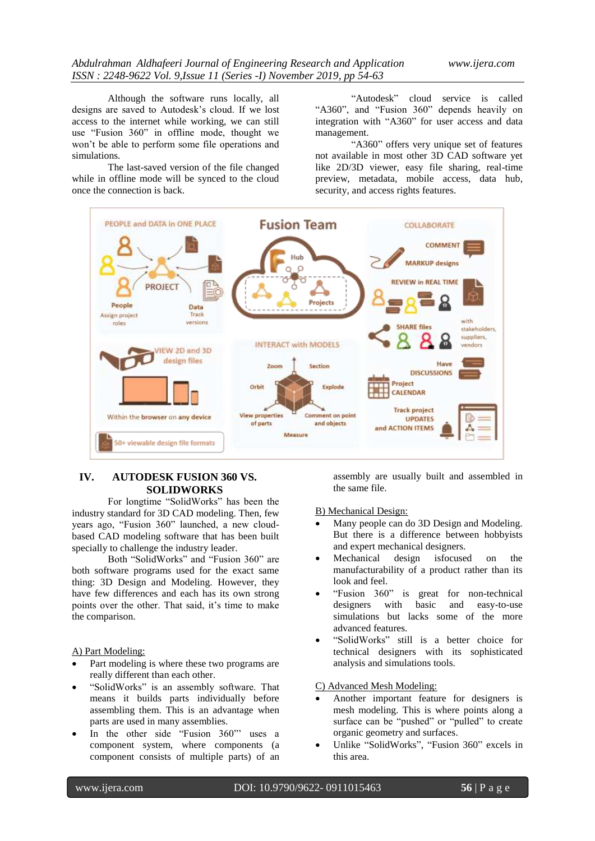Although the software runs locally, all designs are saved to Autodesk's cloud. If we lost access to the internet while working, we can still use "Fusion 360" in offline mode, thought we won't be able to perform some file operations and simulations.

The last-saved version of the file changed while in offline mode will be synced to the cloud once the connection is back.

"Autodesk" cloud service is called "A360", and "Fusion 360" depends heavily on integration with "A360" for user access and data management.

"A360" offers very unique set of features not available in most other 3D CAD software yet like 2D/3D viewer, easy file sharing, real-time preview, metadata, mobile access, data hub, security, and access rights features.



# **IV. AUTODESK FUSION 360 VS. SOLIDWORKS**

For longtime "SolidWorks" has been the industry standard for 3D CAD modeling. Then, few years ago, "Fusion 360" launched, a new cloudbased CAD modeling software that has been built specially to challenge the industry leader.

Both "SolidWorks" and "Fusion 360" are both software programs used for the exact same thing: 3D Design and Modeling. However, they have few differences and each has its own strong points over the other. That said, it's time to make the comparison.

### A) Part Modeling:

- Part modeling is where these two programs are really different than each other.
- "SolidWorks" is an assembly software. That means it builds parts individually before assembling them. This is an advantage when parts are used in many assemblies.
- In the other side "Fusion 360" uses a component system, where components (a component consists of multiple parts) of an

assembly are usually built and assembled in the same file.

### B) Mechanical Design:

- Many people can do 3D Design and Modeling. But there is a difference between hobbyists and expert mechanical designers.
- Mechanical design isfocused on the manufacturability of a product rather than its look and feel.
- "Fusion 360" is great for non-technical designers with basic and easy-to-use simulations but lacks some of the more advanced features.
- "SolidWorks" still is a better choice for technical designers with its sophisticated analysis and simulations tools.

C) Advanced Mesh Modeling:

- Another important feature for designers is mesh modeling. This is where points along a surface can be "pushed" or "pulled" to create organic geometry and surfaces.
- Unlike "SolidWorks", "Fusion 360" excels in this area.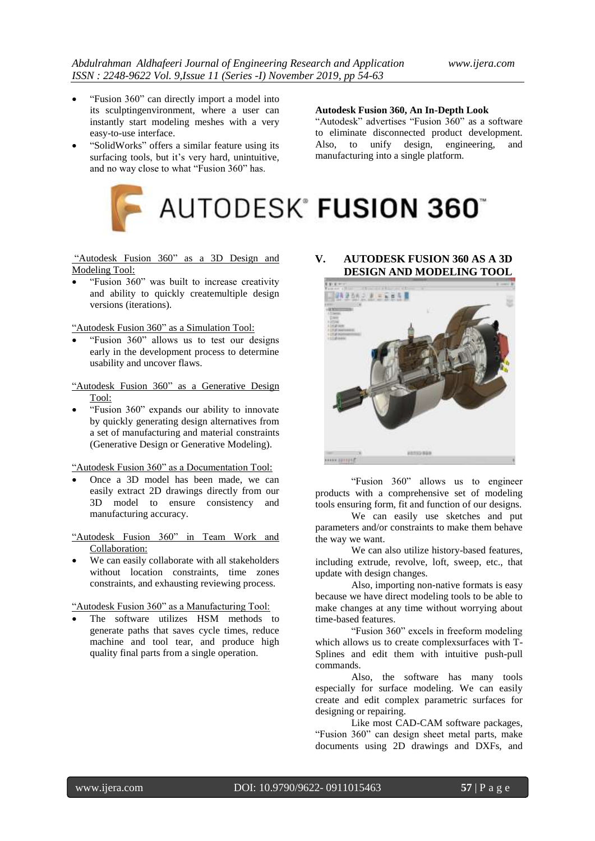- "Fusion 360" can directly import a model into its sculptingenvironment, where a user can instantly start modeling meshes with a very easy-to-use interface.
- "SolidWorks" offers a similar feature using its surfacing tools, but it's very hard, unintuitive, and no way close to what "Fusion 360" has.

**Autodesk Fusion 360, An In-Depth Look**

"Autodesk" advertises "Fusion 360" as a software to eliminate disconnected product development. Also, to unify design, engineering, and manufacturing into a single platform.

# AUTODESK® **FUSION 360**®

"Autodesk Fusion 360" as a 3D Design and Modeling Tool:

 "Fusion 360" was built to increase creativity and ability to quickly createmultiple design versions (iterations).

"Autodesk Fusion 360" as a Simulation Tool:

 "Fusion 360" allows us to test our designs early in the development process to determine usability and uncover flaws.

"Autodesk Fusion 360" as a Generative Design Tool:

 "Fusion 360" expands our ability to innovate by quickly generating design alternatives from a set of manufacturing and material constraints (Generative Design or Generative Modeling).

"Autodesk Fusion 360" as a Documentation Tool:

 Once a 3D model has been made, we can easily extract 2D drawings directly from our 3D model to ensure consistency and manufacturing accuracy.

"Autodesk Fusion 360" in Team Work and Collaboration:

 We can easily collaborate with all stakeholders without location constraints, time zones constraints, and exhausting reviewing process.

"Autodesk Fusion 360" as a Manufacturing Tool:

 The software utilizes HSM methods to generate paths that saves cycle times, reduce machine and tool tear, and produce high quality final parts from a single operation.

**V. AUTODESK FUSION 360 AS A 3D DESIGN AND MODELING TOOL**



"Fusion 360" allows us to engineer products with a comprehensive set of modeling tools ensuring form, fit and function of our designs.

We can easily use sketches and put parameters and/or constraints to make them behave the way we want.

We can also utilize history-based features, including extrude, revolve, loft, sweep, etc., that update with design changes.

Also, importing non-native formats is easy because we have direct modeling tools to be able to make changes at any time without worrying about time-based features.

"Fusion 360" excels in freeform modeling which allows us to create complexsurfaces with T-Splines and edit them with intuitive push-pull commands.

Also, the software has many tools especially for surface modeling. We can easily create and edit complex parametric surfaces for designing or repairing.

Like most CAD-CAM software packages, "Fusion 360" can design sheet metal parts, make documents using 2D drawings and DXFs, and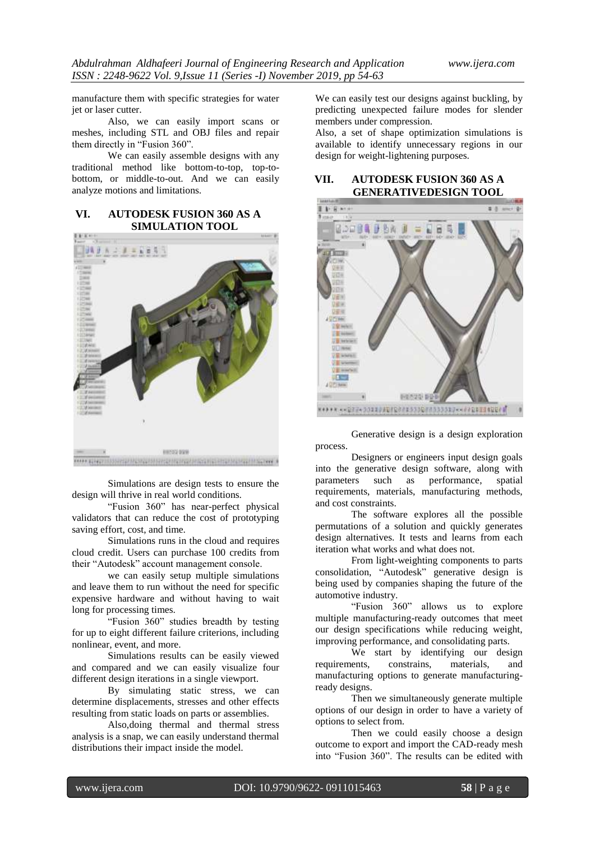manufacture them with specific strategies for water jet or laser cutter.

Also, we can easily import scans or meshes, including STL and OBJ files and repair them directly in "Fusion 360".

We can easily assemble designs with any traditional method like bottom-to-top, top-tobottom, or middle-to-out. And we can easily analyze motions and limitations.

# **VI. AUTODESK FUSION 360 AS A SIMULATION TOOL**



Simulations are design tests to ensure the design will thrive in real world conditions.

"Fusion 360" has near-perfect physical validators that can reduce the cost of prototyping saving effort, cost, and time.

Simulations runs in the cloud and requires cloud credit. Users can purchase 100 credits from their "Autodesk" account management console.

we can easily setup multiple simulations and leave them to run without the need for specific expensive hardware and without having to wait long for processing times.

"Fusion 360" studies breadth by testing for up to eight different failure criterions, including nonlinear, event, and more.

Simulations results can be easily viewed and compared and we can easily visualize four different design iterations in a single viewport.

By simulating static stress, we can determine displacements, stresses and other effects resulting from static loads on parts or assemblies.

Also,doing thermal and thermal stress analysis is a snap, we can easily understand thermal distributions their impact inside the model.

We can easily test our designs against buckling, by predicting unexpected failure modes for slender members under compression.

Also, a set of shape optimization simulations is available to identify unnecessary regions in our design for weight-lightening purposes.

### **VII. AUTODESK FUSION 360 AS A GENERATIVEDESIGN TOOL**



Generative design is a design exploration process.

Designers or engineers input design goals into the generative design software, along with parameters such as performance, spatial requirements, materials, manufacturing methods, and cost constraints.

The software explores all the possible permutations of a solution and quickly generates design alternatives. It tests and learns from each iteration what works and what does not.

From light-weighting components to parts consolidation, "Autodesk" generative design is being used by companies shaping the future of the automotive industry.

"Fusion 360" allows us to explore multiple manufacturing-ready outcomes that meet our design specifications while reducing weight, improving performance, and consolidating parts.

We start by identifying our design requirements, constrains, materials, and manufacturing options to generate manufacturingready designs.

Then we simultaneously generate multiple options of our design in order to have a variety of options to select from.

Then we could easily choose a design outcome to export and import the CAD-ready mesh into "Fusion 360". The results can be edited with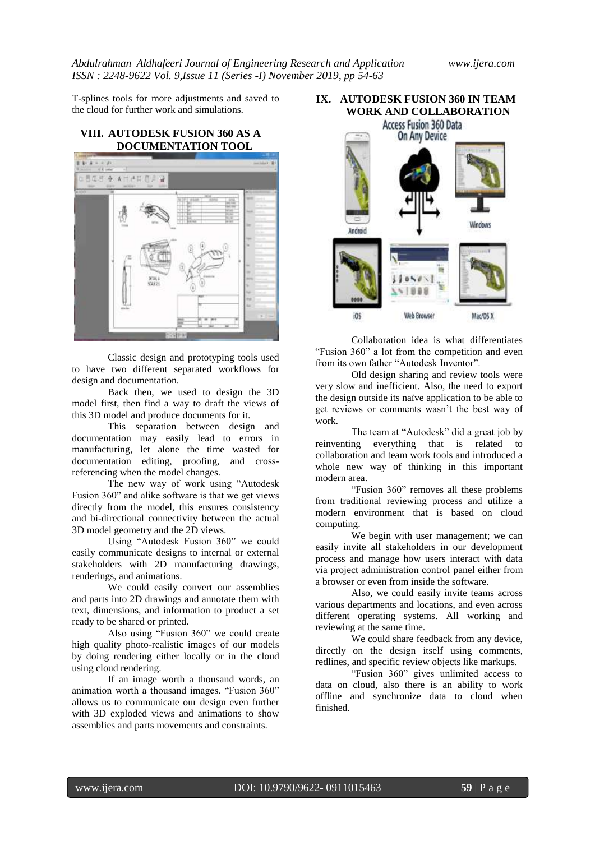T-splines tools for more adjustments and saved to the cloud for further work and simulations.

**VIII. AUTODESK FUSION 360 AS A DOCUMENTATION TOOL**



Classic design and prototyping tools used to have two different separated workflows for design and documentation.

Back then, we used to design the 3D model first, then find a way to draft the views of this 3D model and produce documents for it.

This separation between design and documentation may easily lead to errors in manufacturing, let alone the time wasted for documentation editing, proofing, and crossreferencing when the model changes.

The new way of work using "Autodesk Fusion 360" and alike software is that we get views directly from the model, this ensures consistency and bi-directional connectivity between the actual 3D model geometry and the 2D views.

Using "Autodesk Fusion 360" we could easily communicate designs to internal or external stakeholders with 2D manufacturing drawings, renderings, and animations.

We could easily convert our assemblies and parts into 2D drawings and annotate them with text, dimensions, and information to product a set ready to be shared or printed.

Also using "Fusion 360" we could create high quality photo-realistic images of our models by doing rendering either locally or in the cloud using cloud rendering.

If an image worth a thousand words, an animation worth a thousand images. "Fusion 360" allows us to communicate our design even further with 3D exploded views and animations to show assemblies and parts movements and constraints.



Collaboration idea is what differentiates "Fusion 360" a lot from the competition and even from its own father "Autodesk Inventor".

Old design sharing and review tools were very slow and inefficient. Also, the need to export the design outside its naïve application to be able to get reviews or comments wasn't the best way of work.

The team at "Autodesk" did a great job by reinventing everything that is related to collaboration and team work tools and introduced a whole new way of thinking in this important modern area.

"Fusion 360" removes all these problems from traditional reviewing process and utilize a modern environment that is based on cloud computing.

We begin with user management; we can easily invite all stakeholders in our development process and manage how users interact with data via project administration control panel either from a browser or even from inside the software.

Also, we could easily invite teams across various departments and locations, and even across different operating systems. All working and reviewing at the same time.

We could share feedback from any device, directly on the design itself using comments, redlines, and specific review objects like markups.

"Fusion 360" gives unlimited access to data on cloud, also there is an ability to work offline and synchronize data to cloud when finished.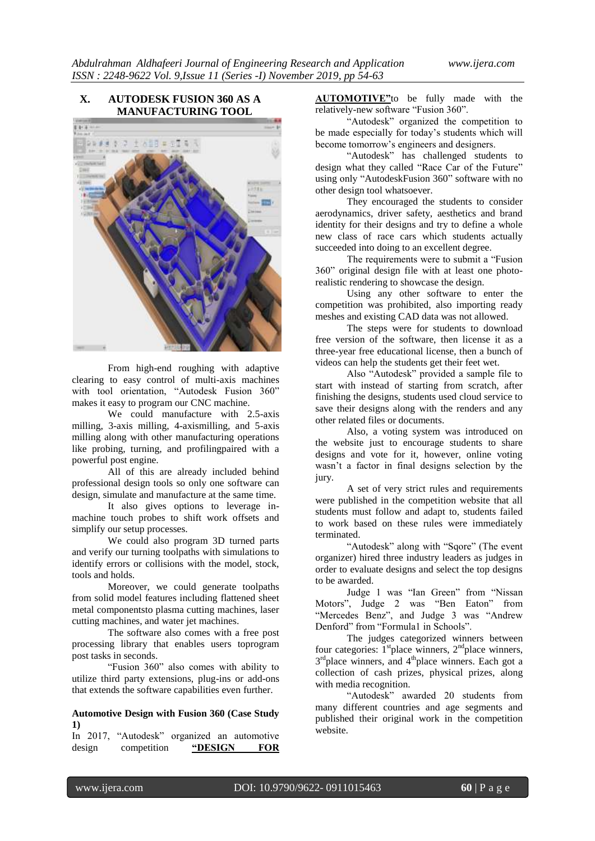# **X. AUTODESK FUSION 360 AS A MANUFACTURING TOOL**  $4.4$ 大阪府 ローの下記

From high-end roughing with adaptive clearing to easy control of multi-axis machines with tool orientation, "Autodesk Fusion 360" makes it easy to program our CNC machine.

We could manufacture with 2.5-axis milling, 3-axis milling, 4-axismilling, and 5-axis milling along with other manufacturing operations like probing, turning, and profilingpaired with a powerful post engine.

All of this are already included behind professional design tools so only one software can design, simulate and manufacture at the same time.

It also gives options to leverage inmachine touch probes to shift work offsets and simplify our setup processes.

We could also program 3D turned parts and verify our turning toolpaths with simulations to identify errors or collisions with the model, stock, tools and holds.

Moreover, we could generate toolpaths from solid model features including flattened sheet metal componentsto plasma cutting machines, laser cutting machines, and water jet machines.

The software also comes with a free post processing library that enables users toprogram post tasks in seconds.

"Fusion 360" also comes with ability to utilize third party extensions, plug-ins or add-ons that extends the software capabilities even further.

### **Automotive Design with Fusion 360 (Case Study 1)**

In 2017, "Autodesk" organized an automotive design competition **"DESIGN FOR** 

**AUTOMOTIVE"**to be fully made with the relatively-new software "Fusion 360".

"Autodesk" organized the competition to be made especially for today's students which will become tomorrow's engineers and designers.

"Autodesk" has challenged students to design what they called "Race Car of the Future" using only "AutodeskFusion 360" software with no other design tool whatsoever.

They encouraged the students to consider aerodynamics, driver safety, aesthetics and brand identity for their designs and try to define a whole new class of race cars which students actually succeeded into doing to an excellent degree.

The requirements were to submit a "Fusion 360" original design file with at least one photorealistic rendering to showcase the design.

Using any other software to enter the competition was prohibited, also importing ready meshes and existing CAD data was not allowed.

The steps were for students to download free version of the software, then license it as a three-year free educational license, then a bunch of videos can help the students get their feet wet.

Also "Autodesk" provided a sample file to start with instead of starting from scratch, after finishing the designs, students used cloud service to save their designs along with the renders and any other related files or documents.

Also, a voting system was introduced on the website just to encourage students to share designs and vote for it, however, online voting wasn't a factor in final designs selection by the jury.

A set of very strict rules and requirements were published in the competition website that all students must follow and adapt to, students failed to work based on these rules were immediately terminated.

"Autodesk" along with "Sqore" (The event organizer) hired three industry leaders as judges in order to evaluate designs and select the top designs to be awarded.

Judge 1 was "Ian Green" from "Nissan Motors", Judge 2 was "Ben Eaton" from "Mercedes Benz", and Judge 3 was "Andrew Denford" from "Formula1 in Schools".

The judges categorized winners between four categories:  $1<sup>st</sup>$  place winners,  $2<sup>nd</sup>$  place winners, 3<sup>rd</sup>place winners, and 4<sup>th</sup>place winners. Each got a collection of cash prizes, physical prizes, along with media recognition.

"Autodesk" awarded 20 students from many different countries and age segments and published their original work in the competition website.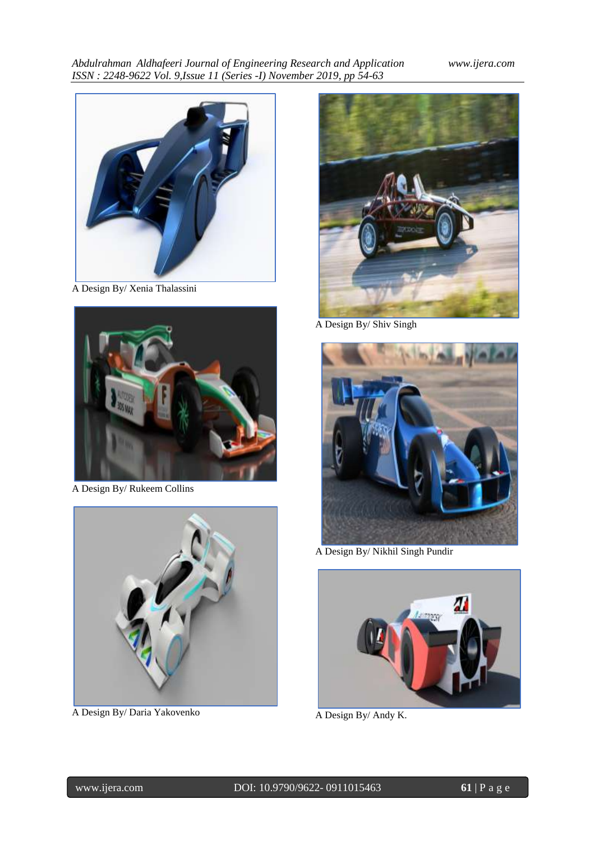

A Design By/ Xenia Thalassini



A Design By/ Rukeem Collins



A Design By/ Daria Yakovenko



A Design By/ Shiv Singh



A Design By/ Nikhil Singh Pundir



A Design By/ Andy K.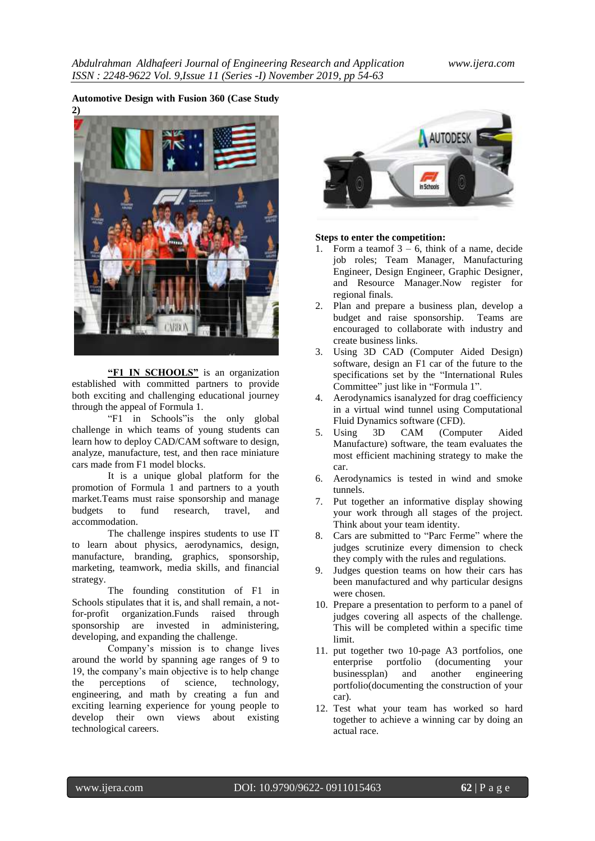## **Automotive Design with Fusion 360 (Case Study**



**"F1 IN SCHOOLS"** is an organization established with committed partners to provide both exciting and challenging educational journey through the appeal of Formula 1.

"F1 in Schools"is the only global challenge in which teams of young students can learn how to deploy CAD/CAM software to design, analyze, manufacture, test, and then race miniature cars made from F1 model blocks.

It is a unique global platform for the promotion of Formula 1 and partners to a youth market.Teams must raise sponsorship and manage budgets to fund research, travel, and accommodation.

The challenge inspires students to use IT to learn about physics, aerodynamics, design, manufacture, branding, graphics, sponsorship, marketing, teamwork, media skills, and financial strategy.

The founding constitution of F1 in Schools stipulates that it is, and shall remain, a notfor-profit organization.Funds raised through sponsorship are invested in administering, developing, and expanding the challenge.

Company's mission is to change lives around the world by spanning age ranges of 9 to 19, the company's main objective is to help change the perceptions of science, technology, engineering, and math by creating a fun and exciting learning experience for young people to develop their own views about existing technological careers.



#### **Steps to enter the competition:**

- 1. Form a teamof  $3 6$ , think of a name, decide job roles; Team Manager, Manufacturing Engineer, Design Engineer, Graphic Designer, and Resource Manager.Now register for regional finals.
- 2. Plan and prepare a business plan, develop a budget and raise sponsorship. Teams are encouraged to collaborate with industry and create business links.
- 3. Using 3D CAD (Computer Aided Design) software, design an F1 car of the future to the specifications set by the "International Rules Committee" just like in "Formula 1".
- 4. Aerodynamics isanalyzed for drag coefficiency in a virtual wind tunnel using Computational Fluid Dynamics software (CFD).
- 5. Using 3D CAM (Computer Aided Manufacture) software, the team evaluates the most efficient machining strategy to make the car.
- 6. Aerodynamics is tested in wind and smoke tunnels.
- 7. Put together an informative display showing your work through all stages of the project. Think about your team identity.
- 8. Cars are submitted to "Parc Ferme" where the judges scrutinize every dimension to check they comply with the rules and regulations.
- 9. Judges question teams on how their cars has been manufactured and why particular designs were chosen.
- 10. Prepare a presentation to perform to a panel of judges covering all aspects of the challenge. This will be completed within a specific time limit.
- 11. put together two 10-page A3 portfolios, one enterprise portfolio (documenting your businessplan) and another engineering portfolio(documenting the construction of your car).
- 12. Test what your team has worked so hard together to achieve a winning car by doing an actual race.